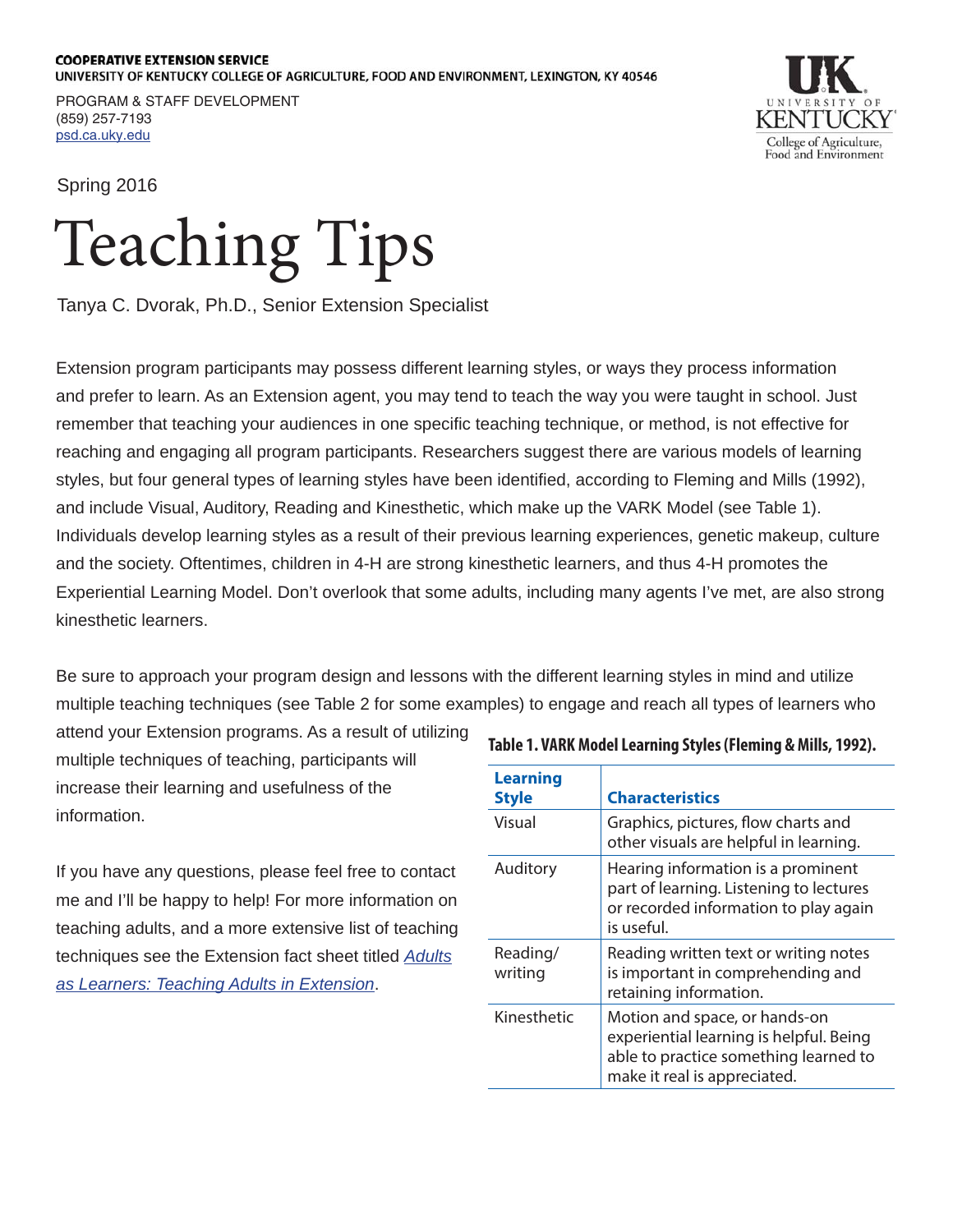## **COOPERATIVE EXTENSION SERVICE** UNIVERSITY OF KENTUCKY COLLEGE OF AGRICULTURE, FOOD AND ENVIRONMENT, LEXINGTON, KY 40546

PROGRAM & STAFF DEVELOPMENT (859) 257-7193 <psd.ca.uky.edu>

College of Agriculture, Food and Environment

Spring 2016

## Teaching Tips

Tanya C. Dvorak, Ph.D., Senior Extension Specialist

Extension program participants may possess different learning styles, or ways they process information and prefer to learn. As an Extension agent, you may tend to teach the way you were taught in school. Just remember that teaching your audiences in one specific teaching technique, or method, is not effective for reaching and engaging all program participants. Researchers suggest there are various models of learning styles, but four general types of learning styles have been identified, according to Fleming and Mills (1992), and include Visual, Auditory, Reading and Kinesthetic, which make up the VARK Model (see Table 1). Individuals develop learning styles as a result of their previous learning experiences, genetic makeup, culture and the society. Oftentimes, children in 4-H are strong kinesthetic learners, and thus 4-H promotes the Experiential Learning Model. Don't overlook that some adults, including many agents I've met, are also strong kinesthetic learners.

Be sure to approach your program design and lessons with the different learning styles in mind and utilize multiple teaching techniques (see Table 2 for some examples) to engage and reach all types of learners who

attend your Extension programs. As a result of utilizing multiple techniques of teaching, participants will increase their learning and usefulness of the information.

If you have any questions, please feel free to contact me and I'll be happy to help! For more information on teaching adults, and a more extensive list of teaching techniques see the Extension fact sheet titled *[Adults](http://www2.ca.uky.edu/agc/pubs/CLD4/CLD42/CLD42.pdf) [as Learners: Teaching Adults in Extension](http://www2.ca.uky.edu/agc/pubs/CLD4/CLD42/CLD42.pdf)*.

| <b>Learning</b><br><b>Style</b> | <b>Characteristics</b>                                                                                                                            |
|---------------------------------|---------------------------------------------------------------------------------------------------------------------------------------------------|
| Visual                          | Graphics, pictures, flow charts and<br>other visuals are helpful in learning.                                                                     |
| Auditory                        | Hearing information is a prominent<br>part of learning. Listening to lectures<br>or recorded information to play again<br>is useful.              |
| Reading/<br>writing             | Reading written text or writing notes<br>is important in comprehending and<br>retaining information.                                              |
| Kinesthetic                     | Motion and space, or hands-on<br>experiential learning is helpful. Being<br>able to practice something learned to<br>make it real is appreciated. |

## **Table 1. VARK Model Learning Styles (Fleming & Mills, 1992).**